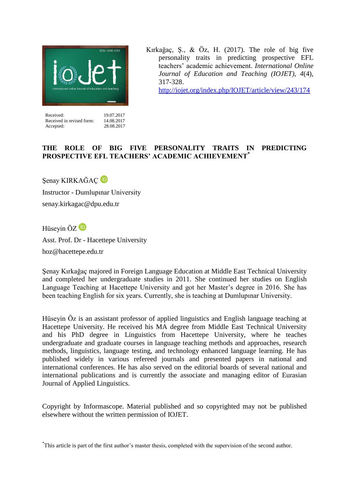

Accepted: 28.08.2017

Received in revised form:

Kırkağaç, Ş., & Öz, H. (2017). The role of big five personality traits in predicting prospective EFL teachers' academic achievement. *International Online Journal of Education and Teaching (IOJET), 4*(4), 317-328.

<http://iojet.org/index.php/IOJET/article/view/243/174>

# **THE ROLE OF BIG FIVE PERSONALITY TRAITS IN PREDICTING PROSPECTIVE EFL TEACHERS' ACADEMIC ACHIEVEMENT\***

Senay KIRKAĞAÇ<sup>D</sup> Instructor - Dumlupınar University senay.kirkagac@dpu.edu.tr

Hüseyin ÖZ<sup>D</sup>

Asst. Prof. Dr - Hacettepe University hoz@hacettepe.edu.tr

Şenay Kırkağaç majored in Foreign Language Education at Middle East Technical University and completed her undergraduate studies in 2011. She continued her studies on English Language Teaching at Hacettepe University and got her Master's degree in 2016. She has been teaching English for six years. Currently, she is teaching at Dumlupınar University.

Hüseyin Öz is an assistant professor of applied linguistics and English language teaching at Hacettepe University. He received his MA degree from Middle East Technical University and his PhD degree in Linguistics from Hacettepe University, where he teaches undergraduate and graduate courses in language teaching methods and approaches, research methods, linguistics, language testing, and technology enhanced language learning. He has published widely in various refereed journals and presented papers in national and international conferences. He has also served on the editorial boards of several national and international publications and is currently the associate and managing editor of Eurasian Journal of Applied Linguistics.

Copyright by Informascope. Material published and so copyrighted may not be published elsewhere without the written permission of IOJET.

\* This article is part of the first author's master thesis, completed with the supervision of the second author.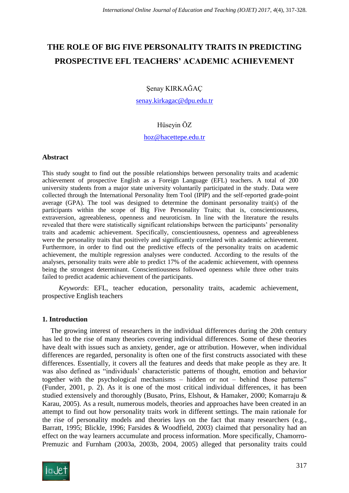# **THE ROLE OF BIG FIVE PERSONALITY TRAITS IN PREDICTING PROSPECTIVE EFL TEACHERS' ACADEMIC ACHIEVEMENT**

Şenay KIRKAĞAÇ

[senay.kirkagac@dpu.edu.tr](mailto:senay.kirkagac@dpu.edu.tr)

## Hüseyin ÖZ

## [hoz@hacettepe.edu.tr](mailto:hoz@hacettepe.edu.tr)

## **Abstract**

This study sought to find out the possible relationships between personality traits and academic achievement of prospective English as a Foreign Language (EFL) teachers. A total of 200 university students from a major state university voluntarily participated in the study. Data were collected through the International Personality Item Tool (IPIP) and the self-reported grade-point average (GPA). The tool was designed to determine the dominant personality trait(s) of the participants within the scope of Big Five Personality Traits; that is, conscientiousness, extraversion, agreeableness, openness and neuroticism. In line with the literature the results revealed that there were statistically significant relationships between the participants' personality traits and academic achievement. Specifically, conscientiousness, openness and agreeableness were the personality traits that positively and significantly correlated with academic achievement. Furthermore, in order to find out the predictive effects of the personality traits on academic achievement, the multiple regression analyses were conducted. According to the results of the analyses, personality traits were able to predict 17% of the academic achievement, with openness being the strongest determinant. Conscientiousness followed openness while three other traits failed to predict academic achievement of the participants.

*Keywords*: EFL, teacher education, personality traits, academic achievement, prospective English teachers

## **1. Introduction**

The growing interest of researchers in the individual differences during the 20th century has led to the rise of many theories covering individual differences. Some of these theories have dealt with issues such as anxiety, gender, age or attribution. However, when individual differences are regarded, personality is often one of the first constructs associated with these differences. Essentially, it covers all the features and deeds that make people as they are. It was also defined as "individuals' characteristic patterns of thought, emotion and behavior together with the psychological mechanisms – hidden or not – behind those patterns" (Funder, 2001, p. 2). As it is one of the most critical individual differences, it has been studied extensively and thoroughly (Busato, Prins, Elshout, & Hamaker, 2000; Komarraju & Karau, 2005). As a result, numerous models, theories and approaches have been created in an attempt to find out how personality traits work in different settings. The main rationale for the rise of personality models and theories lays on the fact that many researchers (e.g., Barratt, 1995; Blickle, 1996; Farsides & Woodfield, 2003) claimed that personality had an effect on the way learners accumulate and process information. More specifically, Chamorro-Premuzic and Furnham (2003a, 2003b, 2004, 2005) alleged that personality traits could

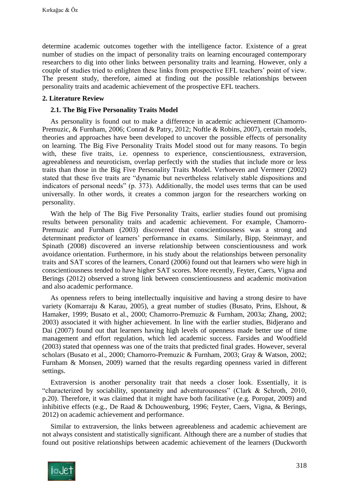determine academic outcomes together with the intelligence factor. Existence of a great number of studies on the impact of personality traits on learning encouraged contemporary researchers to dig into other links between personality traits and learning. However, only a couple of studies tried to enlighten these links from prospective EFL teachers' point of view. The present study, therefore, aimed at finding out the possible relationships between personality traits and academic achievement of the prospective EFL teachers.

## **2. Literature Review**

## **2.1. The Big Five Personality Traits Model**

As personality is found out to make a difference in academic achievement (Chamorro-Premuzic, & Furnham, 2006; Conrad & Patry, 2012; Noftle & Robins, 2007), certain models, theories and approaches have been developed to uncover the possible effects of personality on learning. The Big Five Personality Traits Model stood out for many reasons. To begin with, these five traits, i.e. openness to experience, conscientiousness, extraversion, agreeableness and neuroticism, overlap perfectly with the studies that include more or less traits than those in the Big Five Personality Traits Model. Verhoeven and Vermeer (2002) stated that these five traits are "dynamic but nevertheless relatively stable dispositions and indicators of personal needs" (p. 373). Additionally, the model uses terms that can be used universally. In other words, it creates a common jargon for the researchers working on personality.

With the help of The Big Five Personality Traits, earlier studies found out promising results between personality traits and academic achievement. For example, Chamorro-Premuzic and Furnham (2003) discovered that conscientiousness was a strong and determinant predictor of learners' performance in exams. Similarly, Bipp, Steinmayr, and Spinath (2008) discovered an inverse relationship between conscientiousness and work avoidance orientation. Furthermore, in his study about the relationships between personality traits and SAT scores of the learners, Conard (2006) found out that learners who were high in conscientiousness tended to have higher SAT scores. More recently, Feyter, Caers, Vigna and Berings (2012) observed a strong link between conscientiousness and academic motivation and also academic performance.

As openness refers to being intellectually inquisitive and having a strong desire to have variety (Komarraju & Karau, 2005), a great number of studies (Busato, Prins, Elshout, & Hamaker, 1999; Busato et al., 2000; Chamorro-Premuzic & Furnham, 2003a; Zhang, 2002; 2003) associated it with higher achievement. In line with the earlier studies, Bidjerano and Dai (2007) found out that learners having high levels of openness made better use of time management and effort regulation, which led academic success. Farsides and Woodfield (2003) stated that openness was one of the traits that predicted final grades. However, several scholars (Busato et al., 2000; Chamorro-Premuzic & Furnham, 2003; Gray & Watson, 2002; Furnham & Monsen, 2009) warned that the results regarding openness varied in different settings.

Extraversion is another personality trait that needs a closer look. Essentially, it is "characterized by sociability, spontaneity and adventurousness" (Clark & Schroth, 2010, p.20). Therefore, it was claimed that it might have both facilitative (e.g. Poropat, 2009) and inhibitive effects (e.g., De Raad & Dchouwenburg, 1996; Feyter, Caers, Vigna, & Berings, 2012) on academic achievement and performance.

Similar to extraversion, the links between agreeableness and academic achievement are not always consistent and statistically significant. Although there are a number of studies that found out positive relationships between academic achievement of the learners (Duckworth

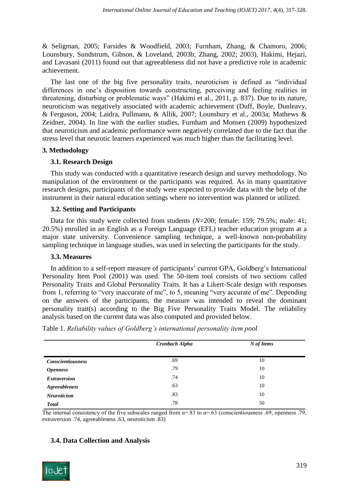& Seligman, 2005; Farsides & Woodfield, 2003; Furnham, Zhang, & Chamoro, 2006; Lounsbury, Sundstrum, Gibson, & Loveland, 2003b; Zhang, 2002; 2003), Hakimi, Hejazi, and Lavasani (2011) found out that agreeableness did not have a predictive role in academic achievement.

The last one of the big five personality traits, neuroticism is defined as "individual differences in one's disposition towards constructing, perceiving and feeling realities in threatening, disturbing or problematic ways" (Hakimi et al., 2011, p. 837). Due to its nature, neuroticism was negatively associated with academic achievement (Duff, Boyle, Dunleavy, & Ferguson, 2004; Laidra, Pullmann, & Allik, 2007; Lounsbury et al., 2003a; Mathews & Zeidner, 2004). In line with the earlier studies, Furnham and Monsen (2009) hypothesized that neuroticism and academic performance were negatively correlated due to the fact that the stress level that neurotic learners experienced was much higher than the facilitating level.

## **3. Methodology**

## **3.1. Research Design**

This study was conducted with a quantitative research design and survey methodology. No manipulation of the environment or the participants was required. As in many quantitative research designs, participants of the study were expected to provide data with the help of the instrument in their natural education settings where no intervention was planned or utilized.

## **3.2. Setting and Participants**

Data for this study were collected from students (*N*=200; female: 159; 79.5%; male: 41; 20.5%) enrolled in an English as a Foreign Language (EFL) teacher education program at a major state university. Convenience sampling technique, a well-known non-probability sampling technique in language studies, was used in selecting the participants for the study.

#### **3.3. Measures**

In addition to a self-report measure of participants' current GPA, Goldberg's International Personality Item Pool (2001) was used. The 50-item tool consists of two sections called Personality Traits and Global Personality Traits. It has a Likert-Scale design with responses from 1, referring to "very inaccurate of me", to 5, meaning "very accurate of me". Depending on the answers of the participants, the measure was intended to reveal the dominant personality trait(s) according to the Big Five Personality Traits Model. The reliability analysis based on the current data was also computed and provided below.

|                          | Cronbach Alpha | N of Items |
|--------------------------|----------------|------------|
| <b>Conscientiousness</b> | .69            | 10         |
| <i><b>Openness</b></i>   | .79            | 10         |
| <b>Extraversion</b>      | .74            | 10         |
| <b>Agreeableness</b>     | .63            | 10         |
| <b>Neuroticism</b>       | .83            | 10         |
| <b>Total</b>             | .78            | 50         |

Table 1. *Reliability values of Goldberg's international personality item pool*

The internal consistency of the five subscales ranged from  $\alpha = 83$  to  $\alpha = .63$  (conscientiousness .69, openness .79, extraversion .74, agreeableness .63, neuroticism .83)

## **3.4. Data Collection and Analysis**

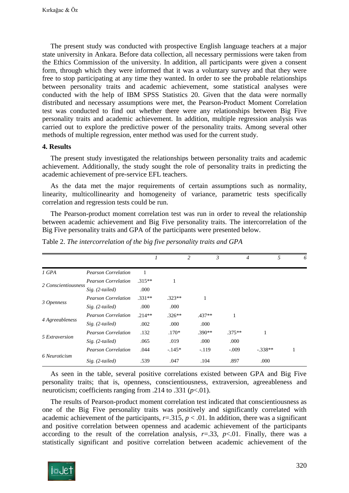The present study was conducted with prospective English language teachers at a major state university in Ankara. Before data collection, all necessary permissions were taken from the Ethics Commission of the university. In addition, all participants were given a consent form, through which they were informed that it was a voluntary survey and that they were free to stop participating at any time they wanted. In order to see the probable relationships between personality traits and academic achievement, some statistical analyses were conducted with the help of IBM SPSS Statistics 20. Given that the data were normally distributed and necessary assumptions were met, the Pearson-Product Moment Correlation test was conducted to find out whether there were any relationships between Big Five personality traits and academic achievement. In addition, multiple regression analysis was carried out to explore the predictive power of the personality traits. Among several other methods of multiple regression, enter method was used for the current study.

#### **4. Results**

The present study investigated the relationships between personality traits and academic achievement. Additionally, the study sought the role of personality traits in predicting the academic achievement of pre-service EFL teachers.

As the data met the major requirements of certain assumptions such as normality, linearity, multicollinearity and homogeneity of variance, parametric tests specifically correlation and regression tests could be run.

The Pearson-product moment correlation test was run in order to reveal the relationship between academic achievement and Big Five personality traits. The intercorrelation of the Big Five personality traits and GPA of the participants were presented below.

|                     |                            |          |          | 2 |          | 3 |          |           | 5 | 6 |
|---------------------|----------------------------|----------|----------|---|----------|---|----------|-----------|---|---|
| 1 GPA               | <b>Pearson Correlation</b> |          |          |   |          |   |          |           |   |   |
| 2 Conscientiousness | <b>Pearson Correlation</b> | $.315**$ | 1        |   |          |   |          |           |   |   |
|                     | $Sig. (2-tailed)$          | .000     |          |   |          |   |          |           |   |   |
| 3 Openness          | <b>Pearson Correlation</b> | $.331**$ | $.323**$ |   |          |   |          |           |   |   |
|                     | $Sig. (2-tailed)$          | .000     | .000     |   |          |   |          |           |   |   |
| 4 Agreeableness     | <b>Pearson Correlation</b> | $.214**$ | $.326**$ |   | $.437**$ |   |          |           |   |   |
|                     | $Sig. (2-tailed)$          | .002     | .000     |   | .000     |   |          |           |   |   |
| 5 Extraversion      | <b>Pearson Correlation</b> | .132     | $.170*$  |   | $.390**$ |   | $.375**$ |           |   |   |
|                     | $Sig. (2-tailed)$          | .065     | .019     |   | .000     |   | .000     |           |   |   |
|                     | <b>Pearson Correlation</b> | .044     | $-145*$  |   | $-.119$  |   | $-.009$  | $-.338**$ |   |   |
| 6 Neuroticism       | $Sig. (2-tailed)$          | .539     | .047     |   | .104     |   | .897     | .000      |   |   |

Table 2. *The intercorrelation of the big five personality traits and GPA*

As seen in the table, several positive correlations existed between GPA and Big Five personality traits; that is, openness, conscientiousness, extraversion, agreeableness and neuroticism; coefficients ranging from .214 to .331 (*p*<.01).

The results of Pearson-product moment correlation test indicated that conscientiousness as one of the Big Five personality traits was positively and significantly correlated with academic achievement of the participants,  $r = .315$ ,  $p < .01$ . In addition, there was a significant and positive correlation between openness and academic achievement of the participants according to the result of the correlation analysis,  $r = .33$ ,  $p < .01$ . Finally, there was a statistically significant and positive correlation between academic achievement of the

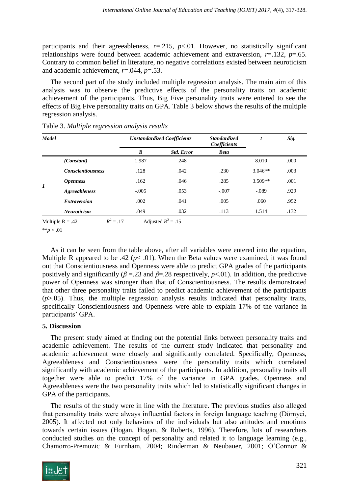participants and their agreeableness, *r*=.215, *p*<.01. However, no statistically significant relationships were found between academic achievement and extraversion, *r*=.132, *p*=.65. Contrary to common belief in literature, no negative correlations existed between neuroticism and academic achievement, *r*=.044, *p*=.53.

The second part of the study included multiple regression analysis. The main aim of this analysis was to observe the predictive effects of the personality traits on academic achievement of the participants. Thus, Big Five personality traits were entered to see the effects of Big Five personality traits on GPA. Table 3 below shows the results of the multiple regression analysis.

| <b>Model</b> |                          |         | <b>Unstandardized Coefficients</b> | <b>Standardized</b><br>Coefficients |           | Sig. |  |
|--------------|--------------------------|---------|------------------------------------|-------------------------------------|-----------|------|--|
|              |                          | B       | <b>Std. Error</b>                  | <b>Beta</b>                         |           |      |  |
|              | (Constant)               | 1.987   | .248                               |                                     | 8.010     | .000 |  |
| 1            | <b>Conscientiousness</b> | .128    | .042                               | .230                                | $3.046**$ | .003 |  |
|              | <i><b>Openness</b></i>   | .162    | .046                               | .285                                | $3.509**$ | .001 |  |
|              | <b>Agreeableness</b>     | $-.005$ | .053                               | $-.007$                             | $-.089$   | .929 |  |
|              | <b>Extraversion</b>      | .002    | .041                               | .005                                | .060      | .952 |  |
|              | <b>Neuroticism</b>       | .049    | .032                               | .113                                | 1.514     | .132 |  |

Table 3. *Multiple regression analysis results*

Multiple  $R = .42$  $R^2 = .17$  $= .17$  Adjusted  $R^2 = .15$ 

 $*$ *\*p* < .01

As it can be seen from the table above, after all variables were entered into the equation, Multiple R appeared to be .42 ( $p$ < .01). When the Beta values were examined, it was found out that Conscientiousness and Openness were able to predict GPA grades of the participants positively and significantly ( $\beta$  =.23 and  $\beta$ =.28 respectively,  $p$ <.01). In addition, the predictive power of Openness was stronger than that of Conscientiousness. The results demonstrated that other three personality traits failed to predict academic achievement of the participants  $(p>0.05)$ . Thus, the multiple regression analysis results indicated that personality traits, specifically Conscientiousness and Openness were able to explain 17% of the variance in participants' GPA.

## **5. Discussion**

The present study aimed at finding out the potential links between personality traits and academic achievement. The results of the current study indicated that personality and academic achievement were closely and significantly correlated. Specifically, Openness, Agreeableness and Conscientiousness were the personality traits which correlated significantly with academic achievement of the participants. In addition, personality traits all together were able to predict 17% of the variance in GPA grades. Openness and Agreeableness were the two personality traits which led to statistically significant changes in GPA of the participants.

The results of the study were in line with the literature. The previous studies also alleged that personality traits were always influential factors in foreign language teaching (Dörnyei, 2005). It affected not only behaviors of the individuals but also attitudes and emotions towards certain issues (Hogan, Hogan, & Roberts, 1996). Therefore, lots of researchers conducted studies on the concept of personality and related it to language learning (e.g., Chamorro-Premuzic & Furnham, 2004; Rinderman & Neubauer, 2001; O'Connor &

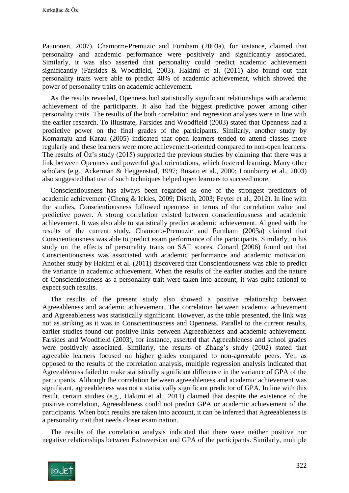Paunonen, 2007). Chamorro-Premuzic and Furnham (2003a), for instance, claimed that personality and academic performance were positively and significantly associated. Similarly, it was also asserted that personality could predict academic achievement significantly (Farsides & Woodfield, 2003). Hakimi et al. (2011) also found out that personality traits were able to predict 48% of academic achievement, which showed the power of personality traits on academic achievement.

As the results revealed, Openness had statistically significant relationships with academic achievement of the participants. It also had the biggest predictive power among other personality traits. The results of the both correlation and regression analyses were in line with the earlier research. To illustrate, Farsides and Woodfield (2003) stated that Openness had a predictive power on the final grades of the participants. Similarly, another study by Komarraju and Karau (2005) indicated that open learners tended to attend classes more regularly and these learners were more achievement-oriented compared to non-open learners. The results of Öz's study (2015) supported the previous studies by claiming that there was a link between Openness and powerful goal orientations, which fostered learning. Many other scholars (e.g., Ackerman & Heggenstad, 1997; Busato et al., 2000; Lounburry et al., 2003) also suggested that use of such techniques helped open learners to succeed more.

Conscientiousness has always been regarded as one of the strongest predictors of academic achievement (Cheng & Ickles, 2009; Diseth, 2003; Feyter et al., 2012). In line with the studies, Conscientiousness followed openness in terms of the correlation value and predictive power. A strong correlation existed between conscientiousness and academic achievement. It was also able to statistically predict academic achievement. Aligned with the results of the current study, Chamorro-Premuzic and Furnham (2003a) claimed that Conscientiousness was able to predict exam performance of the participants. Similarly, in his study on the effects of personality traits on SAT scores, Conard (2006) found out that Conscientiousness was associated with academic performance and academic motivation. Another study by Hakimi et al. (2011) discovered that Conscientiousness was able to predict the variance in academic achievement. When the results of the earlier studies and the nature of Conscientiousness as a personality trait were taken into account, it was quite rational to expect such results.

The results of the present study also showed a positive relationship between Agreeableness and academic achievement. The correlation between academic achievement and Agreeableness was statistically significant. However, as the table presented, the link was not as striking as it was in Conscientiousness and Openness. Parallel to the current results, earlier studies found out positive links between Agreeableness and academic achievement. Farsides and Woodfield (2003), for instance, asserted that Agreeableness and school grades were positively associated. Similarly, the results of Zhang's study (2002) stated that agreeable learners focused on higher grades compared to non-agreeable peers. Yet, as opposed to the results of the correlation analysis, multiple regression analysis indicated that Agreeableness failed to make statistically significant difference in the variance of GPA of the participants. Although the correlation between agreeableness and academic achievement was significant, agreeableness was not a statistically significant predictor of GPA. In line with this result, certain studies (e.g., Hakimi et al., 2011) claimed that despite the existence of the positive correlation, Agreeableness could not predict GPA or academic achievement of the participants. When both results are taken into account, it can be inferred that Agreeableness is a personality trait that needs closer examination.

The results of the correlation analysis indicated that there were neither positive nor negative relationships between Extraversion and GPA of the participants. Similarly, multiple

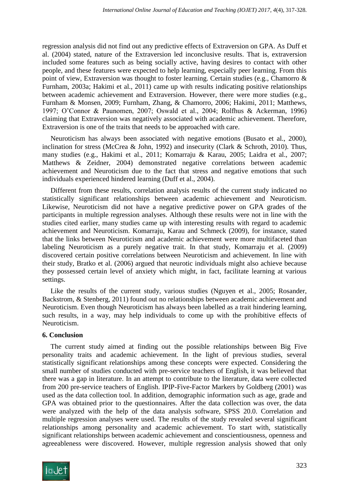regression analysis did not find out any predictive effects of Extraversion on GPA. As Duff et al. (2004) stated, nature of the Extraversion led inconclusive results. That is, extraversion included some features such as being socially active, having desires to contact with other people, and these features were expected to help learning, especially peer learning. From this point of view, Extraversion was thought to foster learning. Certain studies (e.g., Chamorro & Furnham, 2003a; Hakimi et al., 2011) came up with results indicating positive relationships between academic achievement and Extraversion. However, there were more studies (e.g., Furnham & Monsen, 2009; Furnham, Zhang, & Chamorro, 2006; Hakimi, 2011; Matthews, 1997; O'Connor & Paunomen, 2007; Oswald et al., 2004; Rolfhus & Ackerman, 1996) claiming that Extraversion was negatively associated with academic achievement. Therefore, Extraversion is one of the traits that needs to be approached with care.

Neuroticism has always been associated with negative emotions (Busato et al., 2000), inclination for stress (McCrea & John, 1992) and insecurity (Clark & Schroth, 2010). Thus, many studies (e.g., Hakimi et al., 2011; Komarraju & Karau, 2005; Laidra et al., 2007; Matthews & Zeidner, 2004) demonstrated negative correlations between academic achievement and Neuroticism due to the fact that stress and negative emotions that such individuals experienced hindered learning (Duff et al., 2004).

Different from these results, correlation analysis results of the current study indicated no statistically significant relationships between academic achievement and Neuroticism. Likewise, Neuroticism did not have a negative predictive power on GPA grades of the participants in multiple regression analyses. Although these results were not in line with the studies cited earlier, many studies came up with interesting results with regard to academic achievement and Neuroticism. Komarraju, Karau and Schmeck (2009), for instance, stated that the links between Neuroticism and academic achievement were more multifaceted than labeling Neuroticism as a purely negative trait. In that study, Komarraju et al. (2009) discovered certain positive correlations between Neuroticism and achievement. In line with their study, Bratko et al. (2006) argued that neurotic individuals might also achieve because they possessed certain level of anxiety which might, in fact, facilitate learning at various settings.

Like the results of the current study, various studies (Nguyen et al., 2005; Rosander, Backstrom, & Stenberg, 2011) found out no relationships between academic achievement and Neuroticism. Even though Neuroticism has always been labelled as a trait hindering learning, such results, in a way, may help individuals to come up with the prohibitive effects of Neuroticism.

## **6. Conclusion**

The current study aimed at finding out the possible relationships between Big Five personality traits and academic achievement. In the light of previous studies, several statistically significant relationships among these concepts were expected. Considering the small number of studies conducted with pre-service teachers of English, it was believed that there was a gap in literature. In an attempt to contribute to the literature, data were collected from 200 pre-service teachers of English. IPIP-Five-Factor Markers by Goldberg (2001) was used as the data collection tool. In addition, demographic information such as age, grade and GPA was obtained prior to the questionnaires. After the data collection was over, the data were analyzed with the help of the data analysis software, SPSS 20.0. Correlation and multiple regression analyses were used. The results of the study revealed several significant relationships among personality and academic achievement. To start with, statistically significant relationships between academic achievement and conscientiousness, openness and agreeableness were discovered. However, multiple regression analysis showed that only

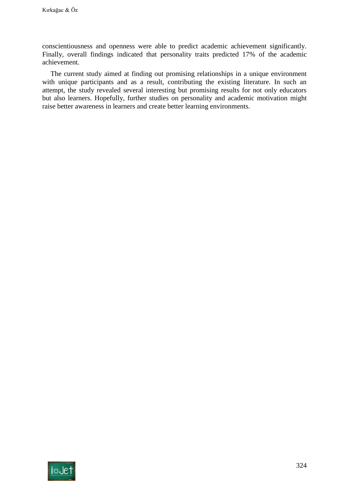conscientiousness and openness were able to predict academic achievement significantly. Finally, overall findings indicated that personality traits predicted 17% of the academic achievement.

The current study aimed at finding out promising relationships in a unique environment with unique participants and as a result, contributing the existing literature. In such an attempt, the study revealed several interesting but promising results for not only educators but also learners. Hopefully, further studies on personality and academic motivation might raise better awareness in learners and create better learning environments.

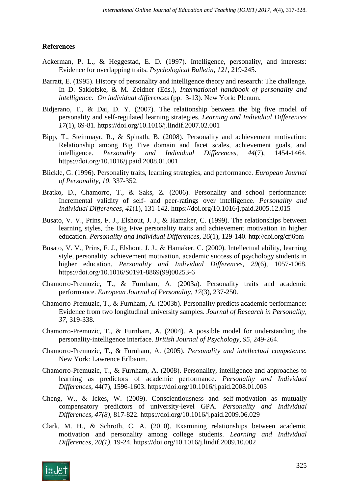## **References**

- Ackerman, P. L., & Heggestad, E. D. (1997). Intelligence, personality, and interests: Evidence for overlapping traits. *Psychological Bulletin*, *121*, 219-245.
- Barratt, E. (1995). History of personality and intelligence theory and research: The challenge. In D. Saklofske, & M. Zeidner (Eds.), *International handbook of personality and intelligence: On individual differences* (pp. 3-13). New York: Plenum.
- Bidjerano, T., & Dai, D. Y. (2007). The relationship between the big five model of personality and self-regulated learning strategies. *Learning and Individual Differences 17*(1), 69-81. https://doi.org/10.1016/j.lindif.2007.02.001
- Bipp, T., Steinmayr, R., & Spinath, B. (2008). Personality and achievement motivation: Relationship among Big Five domain and facet scales, achievement goals, and intelligence. *Personality and Individual Differences, 44*(7), 1454-1464. https://doi.org/10.1016/j.paid.2008.01.001
- Blickle, G. (1996). Personality traits, learning strategies, and performance. *European Journal of Personality, 10,* 337-352.
- Bratko, D., Chamorro, T., & Saks, Z. (2006). Personality and school performance: Incremental validity of self- and peer-ratings over intelligence. *Personality and Individual Differences, 41*(1), 131-142. https://doi.org/10.1016/j.paid.2005.12.015
- Busato, V. V., Prins, F. J., Elshout, J. J., & Hamaker, C. (1999). The relationships between learning styles, the Big Five personality traits and achievement motivation in higher education. *Personality and Individual Differences, 26*(1), 129-140. http://doi.org/cfj6pm
- Busato, V. V., Prins, F. J., Elshout, J. J., & Hamaker, C. (2000). Intellectual ability, learning style, personality, achievement motivation, academic success of psychology students in higher education. *Personality and Individual Differences, 29*(6), 1057-1068. https://doi.org/10.1016/S0191-8869(99)00253-6
- Chamorro-Premuzic, T., & Furnham, A. (2003a). Personality traits and academic performance. *European Journal of Personality, 17*(3), 237-250.
- Chamorro-Premuzic, T., & Furnham, A. (2003b). Personality predicts academic performance: Evidence from two longitudinal university samples. *Journal of Research in Personality, 37,* 319-338.
- Chamorro-Premuzic, T., & Furnham, A. (2004). A possible model for understanding the personality-intelligence interface. *British Journal of Psychology, 95,* 249-264.
- Chamorro-Premuzic, T., & Furnham, A. (2005). *Personality and intellectual competence*. New York: Lawrence Erlbaum.
- Chamorro-Premuzic, T., & Furnham, A. (2008). Personality, intelligence and approaches to learning as predictors of academic performance. *Personality and Individual Differences,* 44(7), 1596-1603. https://doi.org/10.1016/j.paid.2008.01.003
- Cheng, W., & Ickes, W. (2009). Conscientiousness and self-motivation as mutually compensatory predictors of university-level GPA. *Personality and Individual Differences, 47(8),* 817-822. https://doi.org/10.1016/j.paid.2009.06.029
- Clark, M. H., & Schroth, C. A. (2010). Examining relationships between academic motivation and personality among college students. *Learning and Individual Differences, 20(1),* 19-24. https://doi.org/10.1016/j.lindif.2009.10.002

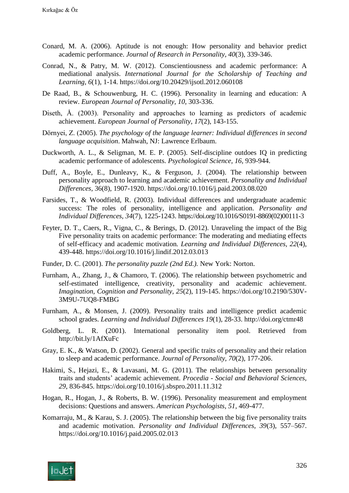- Conard, M. A. (2006). Aptitude is not enough: How personality and behavior predict academic performance. *Journal of Research in Personality, 40*(3), 339-346.
- Conrad, N., & Patry, M. W. (2012). Conscientiousness and academic performance: A mediational analysis. *International Journal for the Scholarship of Teaching and Learning, 6*(1), 1-14. https://doi.org/10.20429/ijsotl.2012.060108
- De Raad, B., & Schouwenburg, H. C. (1996). Personality in learning and education: A review. *European Journal of Personality, 10*, 303-336.
- Diseth, Å. (2003). Personality and approaches to learning as predictors of academic achievement. *European Journal of Personality, 17*(2), 143-155.
- Dörnyei, Z. (2005). *The psychology of the language learner: Individual differences in second language acquisition*. Mahwah, NJ: Lawrence Erlbaum.
- Duckworth, A. L., & Seligman, M. E. P. (2005). Self-discipline outdoes IQ in predicting academic performance of adolescents. *Psychological Science, 16,* 939-944.
- Duff, A., Boyle, E., Dunleavy, K., & Ferguson, J. (2004). The relationship between personality approach to learning and academic achievement. *Personality and Individual Differences,* 36(8), 1907-1920. https://doi.org/10.1016/j.paid.2003.08.020
- Farsides, T., & Woodfield, R. (2003). Individual differences and undergraduate academic success: The roles of personality, intelligence and application. *Personality and Individual Differences, 34*(7), 1225-1243. https://doi.org/10.1016/S0191-8869(02)00111-3
- Feyter, D. T., Caers, R., Vigna, C., & Berings, D. (2012). Unraveling the impact of the Big Five personality traits on academic performance: The moderating and mediating effects of self-efficacy and academic motivation*. Learning and Individual Differences, 22*(4), 439-448. https://doi.org/10.1016/j.lindif.2012.03.013
- Funder, D. C. (2001). *The personality puzzle (2nd Ed.).* New York: Norton.
- Furnham, A., Zhang, J., & Chamoro, T. (2006). The relationship between psychometric and self-estimated intelligence, creativity, personality and academic achievement. *Imagination, Cognition and Personality, 25*(2), 119-145. https://doi.org/10.2190/530V-3M9U-7UQ8-FMBG
- Furnham, A., & Monsen, J. (2009). Personality traits and intelligence predict academic school grades. *Learning and Individual Differences 19*(1), 28-33. http://doi.org/ctmr48
- Goldberg, L. R. (2001). International personality item pool. Retrieved from http://bit.ly/1AfXuFc
- Gray, E. K., & Watson, D. (2002). General and specific traits of personality and their relation to sleep and academic performance. *Journal of Personality, 70*(2), 177-206.
- Hakimi, S., Hejazi, E., & Lavasani, M. G. (2011). The relationships between personality traits and students' academic achievement. *Procedia - Social and Behavioral Sciences, 29*, 836-845. https://doi.org/10.1016/j.sbspro.2011.11.312
- Hogan, R., Hogan, J., & Roberts, B. W. (1996). Personality measurement and employment decisions: Questions and answers. *American Psychologists, 51*, 469-477.
- Komarraju, M., & Karau, S. J. (2005). The relationship between the big five personality traits and academic motivation. *Personality and Individual Differences, 39*(3), 557–567. https://doi.org/10.1016/j.paid.2005.02.013

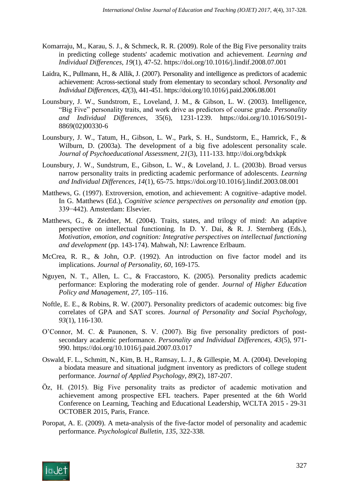- Komarraju, M., Karau, S. J., & Schmeck, R. R. (2009). Role of the Big Five personality traits in predicting college students' academic motivation and achievement. *Learning and Individual Differences, 19*(1), 47-52. https://doi.org/10.1016/j.lindif.2008.07.001
- Laidra, K., Pullmann, H., & Allik, J. (2007). Personality and intelligence as predictors of academic achievement: Across-sectional study from elementary to secondary school. *Personality and Individual Differences, 42*(3), 441-451. https://doi.org/10.1016/j.paid.2006.08.001
- Lounsbury, J. W., Sundstrom, E., Loveland, J. M., & Gibson, L. W. (2003). Intelligence, "Big Five" personality traits, and work drive as predictors of course grade. *Personality and Individual Differences,* 35(6), 1231-1239. https://doi.org/10.1016/S0191- 8869(02)00330-6
- Lounsbury, J. W., Tatum, H., Gibson, L. W., Park, S. H., Sundstorm, E., Hamrick, F., & Wilburn, D. (2003a). The development of a big five adolescent personality scale. *Journal of Psychoeducational Assessment, 21*(3), 111-133. http://doi.org/bdxkpk
- Lounsbury, J. W., Sundstrum, E., Gibson, L. W., & Loveland, J. L. (2003b). Broad versus narrow personality traits in predicting academic performance of adolescents. *Learning and Individual Differences, 14*(1), 65-75. https://doi.org/10.1016/j.lindif.2003.08.001
- Matthews, G. (1997). Extroversion, emotion, and achievement: A cognitive–adaptive model. In G. Matthews (Ed.), *Cognitive science perspectives on personality and emotion* (pp. 339−442). Amsterdam: Elsevier.
- Matthews, G., & Zeidner, M. (2004). Traits, states, and trilogy of mind: An adaptive perspective on intellectual functioning. In D. Y. Dai, & R. J. Sternberg (Eds.), *Motivation, emotion, and cognition: Integrative perspectives on intellectual functioning and development* (pp. 143-174). Mahwah, NJ: Lawrence Erlbaum.
- McCrea, R. R., & John, O.P. (1992). An introduction on five factor model and its implications. *Journal of Personality, 60*, 169-175.
- Nguyen, N. T., Allen, L. C., & Fraccastoro, K. (2005). Personality predicts academic performance: Exploring the moderating role of gender. *Journal of Higher Education Policy and Management, 27,* 105–116.
- Noftle, E. E., & Robins, R. W. (2007). Personality predictors of academic outcomes: big five correlates of GPA and SAT scores. *Journal of Personality and Social Psychology, 93*(1), 116-130.
- O'Connor, M. C. & Paunonen, S. V. (2007). Big five personality predictors of postsecondary academic performance. *Personality and Individual Differences, 43*(5), 971- 990. https://doi.org/10.1016/j.paid.2007.03.017
- Oswald, F. L., Schmitt, N., Kim, B. H., Ramsay, L. J., & Gillespie, M. A. (2004). Developing a biodata measure and situational judgment inventory as predictors of college student performance. *Journal of Applied Psychology*, *89*(2), 187-207.
- Öz, H. (2015). Big Five personality traits as predictor of academic motivation and achievement among prospective EFL teachers. Paper presented at the 6th World Conference on Learning, Teaching and Educational Leadership, WCLTA 2015 - 29-31 OCTOBER 2015, Paris, France.
- Poropat, A. E. (2009). A meta-analysis of the five-factor model of personality and academic performance. *Psychological Bulletin, 135,* 322-338.